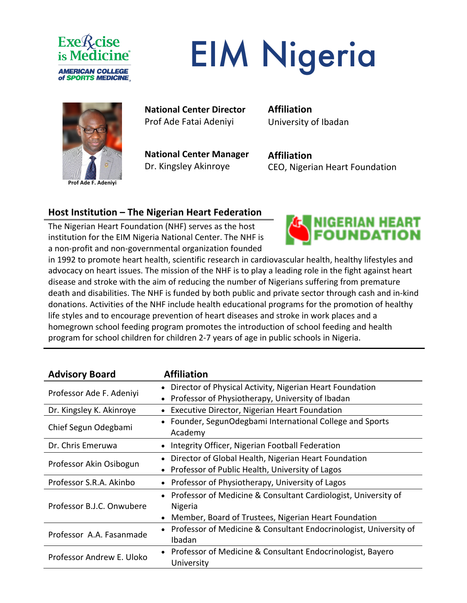

# EIM Nigeria



**Prof Ade F. Adeniyi**

#### **National Center Director** Prof Ade Fatai Adeniyi

**National Center Manager** Dr. Kingsley Akinroye

**Affiliation** University of Ibadan

**Affiliation** CEO, Nigerian Heart Foundation

#### **Host Institution – The Nigerian Heart Federation**

The Nigerian Heart Foundation (NHF) serves as the host institution for the EIM Nigeria National Center. The NHF is a non-profit and non-governmental organization founded



in 1992 to promote heart health, scientific research in cardiovascular health, healthy lifestyles and advocacy on heart issues. The mission of the NHF is to play a leading role in the fight against heart disease and stroke with the aim of reducing the number of Nigerians suffering from premature death and disabilities. The NHF is funded by both public and private sector through cash and in-kind donations. Activities of the NHF include health educational programs for the promotion of healthy life styles and to encourage prevention of heart diseases and stroke in work places and a homegrown school feeding program promotes the introduction of school feeding and health program for school children for children 2-7 years of age in public schools in Nigeria.

| <b>Advisory Board</b>     | <b>Affiliation</b>                                                             |
|---------------------------|--------------------------------------------------------------------------------|
| Professor Ade F. Adeniyi  | • Director of Physical Activity, Nigerian Heart Foundation                     |
|                           | Professor of Physiotherapy, University of Ibadan                               |
| Dr. Kingsley K. Akinroye  | Executive Director, Nigerian Heart Foundation<br>$\bullet$                     |
| Chief Segun Odegbami      | • Founder, SegunOdegbami International College and Sports<br>Academy           |
| Dr. Chris Emeruwa         | Integrity Officer, Nigerian Football Federation                                |
| Professor Akin Osibogun   | Director of Global Health, Nigerian Heart Foundation<br>$\bullet$              |
|                           | Professor of Public Health, University of Lagos<br>$\bullet$                   |
| Professor S.R.A. Akinbo   | Professor of Physiotherapy, University of Lagos                                |
| Professor B.J.C. Onwubere | • Professor of Medicine & Consultant Cardiologist, University of               |
|                           | Nigeria                                                                        |
|                           | Member, Board of Trustees, Nigerian Heart Foundation<br>$\bullet$              |
| Professor A.A. Fasanmade  | Professor of Medicine & Consultant Endocrinologist, University of<br>$\bullet$ |
|                           | Ibadan                                                                         |
| Professor Andrew E. Uloko | • Professor of Medicine & Consultant Endocrinologist, Bayero                   |
|                           | University                                                                     |